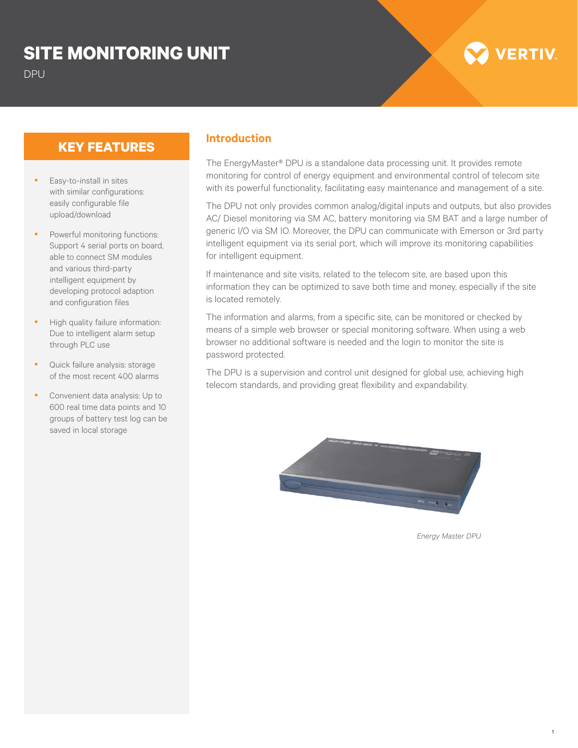## **SITE MONITORING UNIT**

# **/ERTIV**

### **KEY FEATURES Introduction**

- Easy-to-install in sites with similar configurations: easily configurable file upload/download
- Powerful monitoring functions: Support 4 serial ports on board, able to connect SM modules and various third-party intelligent equipment by developing protocol adaption and configuration files
- High quality failure information: Due to intelligent alarm setup through PLC use
- Quick failure analysis: storage of the most recent 400 alarms
- Convenient data analysis: Up to 600 real time data points and 10 groups of battery test log can be saved in local storage

The EnergyMaster® DPU is a standalone data processing unit. It provides remote monitoring for control of energy equipment and environmental control of telecom site with its powerful functionality, facilitating easy maintenance and management of a site.

The DPU not only provides common analog/digital inputs and outputs, but also provides AC/ Diesel monitoring via SM AC, battery monitoring via SM BAT and a large number of generic I/O via SM IO. Moreover, the DPU can communicate with Emerson or 3rd party intelligent equipment via its serial port, which will improve its monitoring capabilities for intelligent equipment.

If maintenance and site visits, related to the telecom site, are based upon this information they can be optimized to save both time and money, especially if the site is located remotely.

The information and alarms, from a specific site, can be monitored or checked by means of a simple web browser or special monitoring software. When using a web browser no additional software is needed and the login to monitor the site is password protected.

The DPU is a supervision and control unit designed for global use, achieving high telecom standards, and providing great flexibility and expandability.



*Energy Master DPU*

1